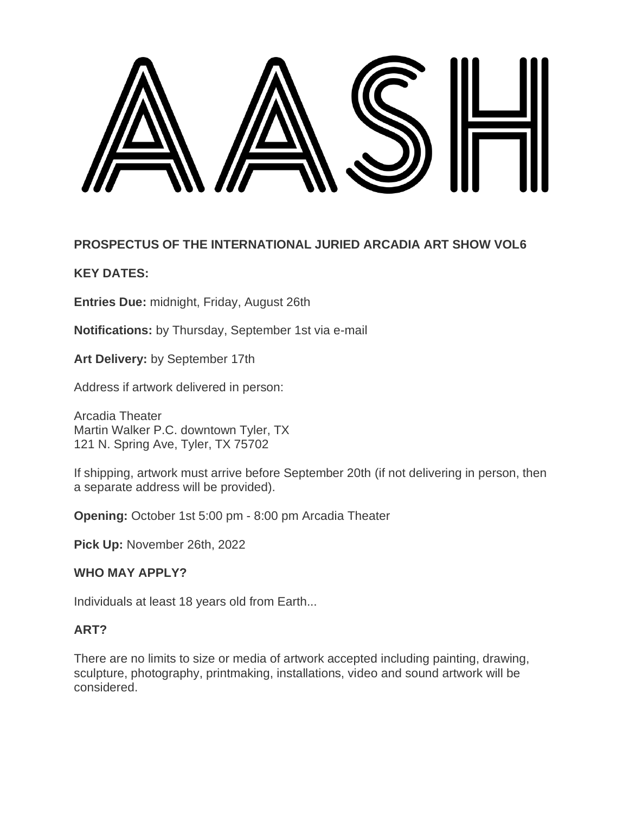

## **PROSPECTUS OF THE INTERNATIONAL JURIED ARCADIA ART SHOW VOL6**

## **KEY DATES:**

**Entries Due:** midnight, Friday, August 26th

**Notifications:** by Thursday, September 1st via e-mail

**Art Delivery:** by September 17th

Address if artwork delivered in person:

Arcadia Theater Martin Walker P.C. downtown Tyler, TX 121 N. Spring Ave, Tyler, TX 75702

If shipping, artwork must arrive before September 20th (if not delivering in person, then a separate address will be provided).

**Opening:** October 1st 5:00 pm - 8:00 pm Arcadia Theater

**Pick Up:** November 26th, 2022

### **WHO MAY APPLY?**

Individuals at least 18 years old from Earth...

#### **ART?**

There are no limits to size or media of artwork accepted including painting, drawing, sculpture, photography, printmaking, installations, video and sound artwork will be considered.